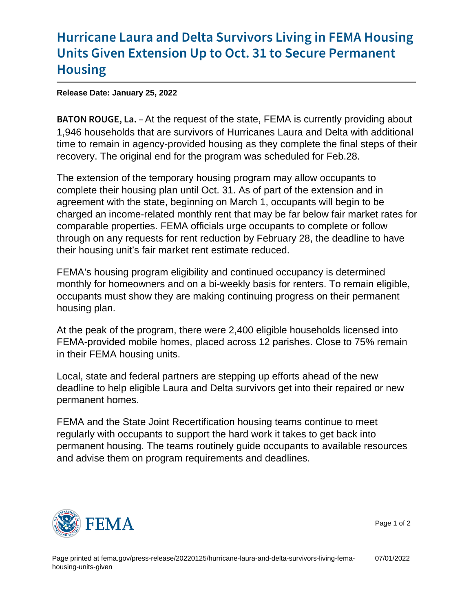## [Hurricane Laura and Delta Survivors](https://www.fema.gov/press-release/20220125/hurricane-laura-and-delta-survivors-living-fema-housing-units-given) Livin [Units Given Extension Up to Oct. 3](https://www.fema.gov/press-release/20220125/hurricane-laura-and-delta-survivors-living-fema-housing-units-given)1 to Se [Hous](https://www.fema.gov/press-release/20220125/hurricane-laura-and-delta-survivors-living-fema-housing-units-given)ing

Release Date: January 25, 2022

B A T O N R O U At the tequest of the state, FEMA is currently providing about 1,946 households that are survivors of Hurricanes Laura and Delta with additional time to remain in agency-provided housing as they complete the final steps of their recovery. The original end for the program was scheduled for Feb.28.

The extension of the temporary housing program may allow occupants to complete their housing plan until Oct. 31. As of part of the extension and in agreement with the state, beginning on March 1, occupants will begin to be charged an income-related monthly rent that may be far below fair market rates for comparable properties. FEMA officials urge occupants to complete or follow through on any requests for rent reduction by February 28, the deadline to have their housing unit's fair market rent estimate reduced.

FEMA's housing program eligibility and continued occupancy is determined monthly for homeowners and on a bi-weekly basis for renters. To remain eligible, occupants must show they are making continuing progress on their permanent housing plan.

At the peak of the program, there were 2,400 eligible households licensed into FEMA-provided mobile homes, placed across 12 parishes. Close to 75% remain in their FEMA housing units.

Local, state and federal partners are stepping up efforts ahead of the new deadline to help eligible Laura and Delta survivors get into their repaired or new permanent homes.

FEMA and the State Joint Recertification housing teams continue to meet regularly with occupants to support the hard work it takes to get back into permanent housing. The teams routinely guide occupants to available resources and advise them on program requirements and deadlines.



Page 1 of 2